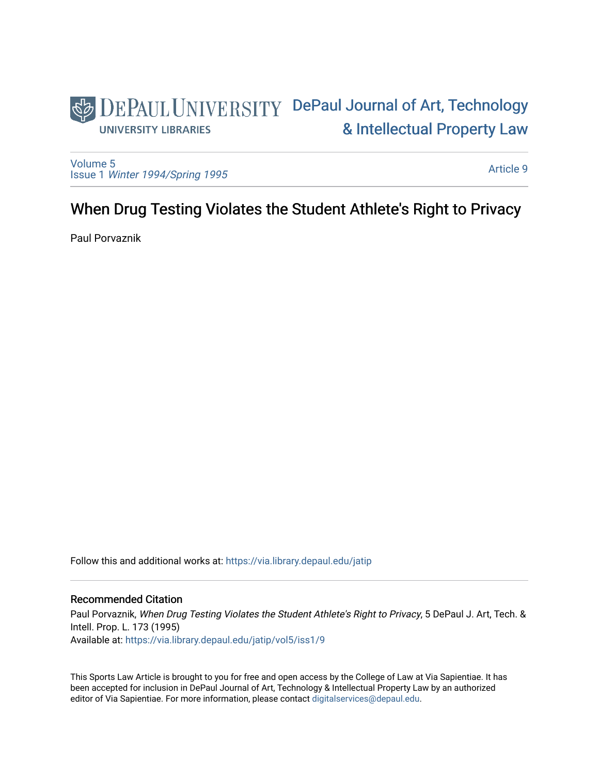# DEPAUL UNIVERSITY DePaul Journal of Art, Technology [& Intellectual Property Law](https://via.library.depaul.edu/jatip)  **UNIVERSITY LIBRARIES**

[Volume 5](https://via.library.depaul.edu/jatip/vol5) Issue 1 [Winter 1994/Spring 1995](https://via.library.depaul.edu/jatip/vol5/iss1)

[Article 9](https://via.library.depaul.edu/jatip/vol5/iss1/9) 

# When Drug Testing Violates the Student Athlete's Right to Privacy

Paul Porvaznik

Follow this and additional works at: [https://via.library.depaul.edu/jatip](https://via.library.depaul.edu/jatip?utm_source=via.library.depaul.edu%2Fjatip%2Fvol5%2Fiss1%2F9&utm_medium=PDF&utm_campaign=PDFCoverPages)

# Recommended Citation

Paul Porvaznik, When Drug Testing Violates the Student Athlete's Right to Privacy, 5 DePaul J. Art, Tech. & Intell. Prop. L. 173 (1995) Available at: [https://via.library.depaul.edu/jatip/vol5/iss1/9](https://via.library.depaul.edu/jatip/vol5/iss1/9?utm_source=via.library.depaul.edu%2Fjatip%2Fvol5%2Fiss1%2F9&utm_medium=PDF&utm_campaign=PDFCoverPages)

This Sports Law Article is brought to you for free and open access by the College of Law at Via Sapientiae. It has been accepted for inclusion in DePaul Journal of Art, Technology & Intellectual Property Law by an authorized editor of Via Sapientiae. For more information, please contact [digitalservices@depaul.edu](mailto:digitalservices@depaul.edu).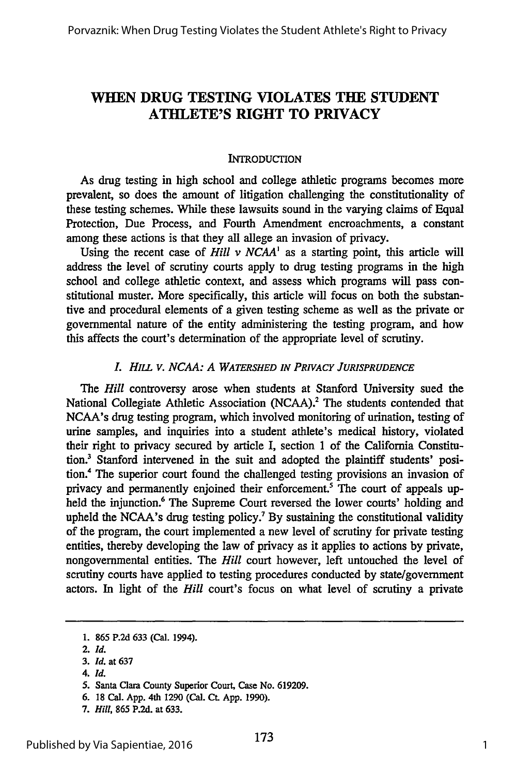# **WHEN DRUG TESTING VIOLATES THE STUDENT ATHLETE'S RIGHT TO PRIVACY**

### **INTRODUCTION**

As drug testing in high school and college athletic programs becomes more prevalent, so does the amount of litigation challenging the constitutionality of these testing schemes. While these lawsuits sound in the varying claims of Equal Protection, Due Process, and Fourth Amendment encroachments, a constant among these actions is that they all allege an invasion of privacy.

Using the recent case of *Hill v NCAA<sup>1</sup>* as a starting point, this article will address the level of scrutiny courts apply to drug testing programs in the high school and college athletic context, and assess which programs will pass constitutional muster. More specifically, this article will focus on both the substantive and procedural elements of a given testing scheme as well as the private or governmental nature of the entity administering the testing program, and how this affects the court's determination of the appropriate level of scrutiny.

### *L HILL V. NCAA: A WATERSHED IN PRIVACY JURISPRUDENCE*

*The Hill* controversy arose when students at Stanford University sued the National Collegiate Athletic Association (NCAA).<sup>2</sup> The students contended that NCAA's drug testing program, which involved monitoring of urination, testing of urine samples, and inquiries into a student athlete's medical history, violated their right to privacy secured by article I, section 1 of the California Constitution.3 Stanford intervened in the suit and adopted the plaintiff students' position.4 The superior court found the challenged testing provisions an invasion of privacy and permanently enjoined their enforcement.<sup>5</sup> The court of appeals upheld the injunction.<sup>6</sup> The Supreme Court reversed the lower courts' holding and upheld the NCAA's drug testing policy.<sup>7</sup> By sustaining the constitutional validity of the program, the court implemented a new level of scrutiny for private testing entities, thereby developing the law of privacy as it applies to actions by private, nongovernmental entities. The *Hill* court however, left untouched the level of scrutiny courts have applied to testing procedures conducted by state/government actors. In light of the *Hill* court's focus on what level of scrutiny a private

*4. Id.*

**<sup>1. 865</sup> P.2d 633** (Cal. 1994).

<sup>2.</sup> *Id.*

<sup>3.</sup> *Id.* at 637

**<sup>5.</sup>** Santa Clara County Superior Court, Case No. **619209.**

<sup>6.</sup> **18** Cal. App. 4th 1290 (Cal. **C.** App. 1990).

<sup>7.</sup> *Hill,* **865** P.2d. at 633.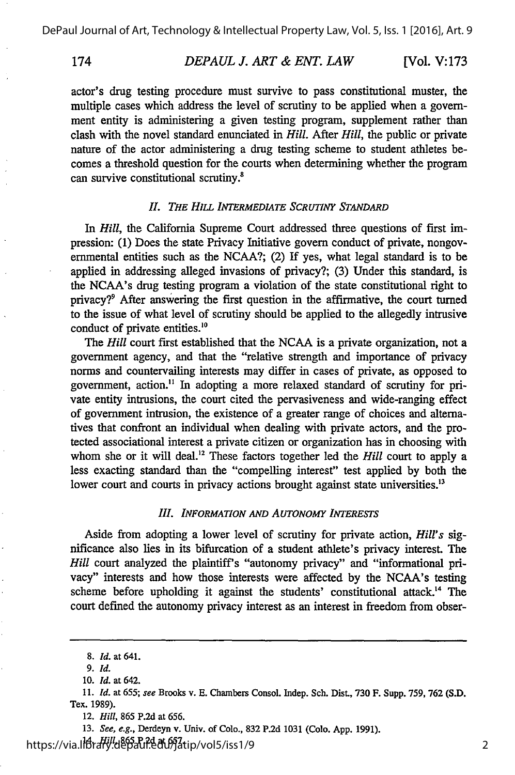174 *DEPAUL J. ART & ENT. LAW* [Vol. **V:173**

actor's drug testing procedure must survive to pass constitutional muster, the multiple cases which address the level of scrutiny to be applied when a government entity is administering a given testing program, supplement rather than clash with the novel standard enunciated in *Hill.* After *Hill,* the public or private nature of the actor administering a drug testing scheme to student athletes becomes a threshold question for the courts when determining whether the program can survive constitutional scrutiny.<sup>8</sup>

### *I. THE* **HILL** *INTERMEDIATE SCRUTINY STANDARD*

In *Hill,* the California Supreme Court addressed three questions of first impression: **(1)** Does the state Privacy Initiative govern conduct of private, nongovernmental entities such as the **NCAA?;** (2) If yes, what legal standard is to be applied in addressing alleged invasions of privacy?; (3) Under this standard, is the NCAA's drug testing program a violation of the state constitutional right to privacy?9 After answering the first question in the affirmative, the court turned to the issue of what level of scrutiny should be applied to the allegedly intrusive conduct of private entities.<sup>10</sup>

The *Hill* court first established that the **NCAA** is a private organization, not a government agency, and that the "relative strength and importance of privacy norms and countervailing interests may differ in cases of private, as opposed to government, action." In adopting a more relaxed standard of scrutiny for private entity intrusions, the court cited the pervasiveness and wide-ranging effect of government intrusion, the existence of a greater range of choices and alternatives that confront an individual when dealing with private actors, and the protected associational interest a private citizen or organization has in choosing with whom she or it will deal.<sup>12</sup> These factors together led the *Hill* court to apply a less exacting standard than the "compelling interest" test applied **by** both the lower court and courts in privacy actions brought against state universities.<sup>13</sup>

#### *III. INFORMATION AND AUTONOMY INTERESTS*

Aside from adopting a lower level of scrutiny for private action, *Hill's* significance also lies in its bifurcation of a student athlete's privacy interest. The *Hill* court analyzed the plaintiff's "autonomy privacy" and "informational privacy" interests and how those interests were affected **by** the NCAA's testing scheme before upholding it against the students' constitutional attack.<sup>14</sup> The court defined the autonomy privacy interest as an interest in freedom from obser-

**13.** See, e.g., Derdeyn v. Univ. of Colo., **832 P.2d 1031** (Colo. **App. 1991).**

14. *Hill,* **865 P.2d** at **657.** https://via.library.depaul.edu/jatip/vol5/iss1/9

**<sup>8.</sup> Id. at 641.**

*<sup>9.</sup> Id.*

**<sup>10.</sup>** *Id.* at 642.

**<sup>11.</sup>** *Id.* at **655;** see Brooks v. **E.** Chambers Consol. Indep. Sch. Dist., **730** F. Supp. **759, 762 (S.D.** Tex. **1989).**

<sup>12.</sup> *Hill,* **865 P.2d** at **656.**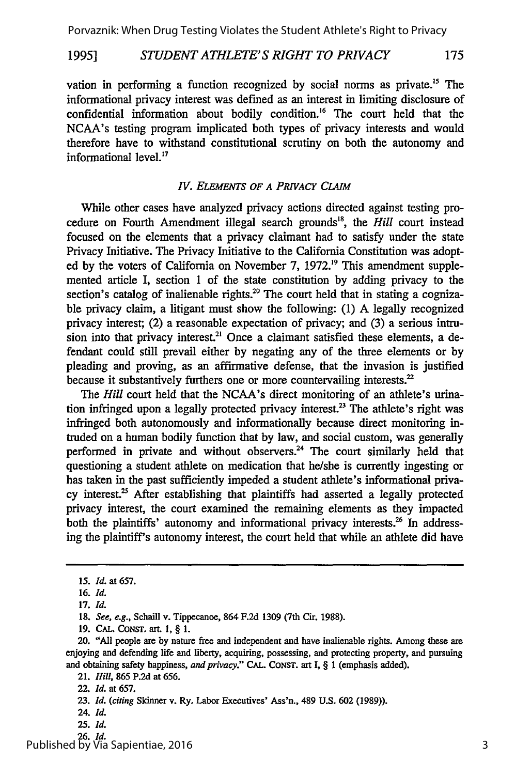#### *STUDENT ATHLETE'S RIGHT TO PRIVACY* **19951** 175

vation in performing a function recognized by social norms as private.<sup>15</sup> The informational privacy interest was defined as an interest in limiting disclosure of confidential information about bodily condition.'6 The court held that the NCAA's testing program implicated both types of privacy interests and would therefore have to withstand constitutional scrutiny on both the autonomy and informational level.<sup>17</sup>

### *IV. ELEMENTS OF A PRIVACY CLAIM*

While other cases have analyzed privacy actions directed against testing procedure on Fourth Amendment illegal search grounds", the *Hill* court instead focused on the elements that a privacy claimant had to satisfy under the state Privacy Initiative. The Privacy Initiative to the California Constitution was adopted by the voters of California on November 7, 1972.<sup>19</sup> This amendment supplemented article I, section 1 of the state constitution by adding privacy to the section's catalog of inalienable rights.<sup>20</sup> The court held that in stating a cognizable privacy claim, a litigant must show the following: (1) A legally recognized privacy interest; (2) a reasonable expectation of privacy; and (3) a serious intrusion into that privacy interest.<sup>21</sup> Once a claimant satisfied these elements, a defendant could still prevail either by negating any of the three elements or by pleading and proving, as an affirmative defense, that the invasion is justified because it substantively furthers one or more countervailing interests.<sup>22</sup>

The *Hill* court held that the NCAA's direct monitoring of an athlete's urination infringed upon a legally protected privacy interest.<sup>23</sup> The athlete's right was infringed both autonomously and informationally because direct monitoring intruded on a human bodily function that by law, and social custom, was generally performed in private and without observers.<sup>24</sup> The court similarly held that questioning a student athlete on medication that he/she is currently ingesting or has taken in the past sufficiently impeded a student athlete's informational privacy interest. $25$  After establishing that plaintiffs had asserted a legally protected privacy interest, the court examined the remaining elements as they impacted both the plaintiffs' autonomy and informational privacy interests.<sup>26</sup> In addressing the plaintiff's autonomy interest, the court held that while an athlete did have

26. *Id.* Published by Via Sapientiae, 2016

*<sup>15.</sup> Id.* at 657.

<sup>16.</sup> *Id.*

<sup>17.</sup> *Id.*

<sup>18.</sup> *See, e.g.,* Schaill v. Tippecanoe, 864 F.2d 1309 (7th Cir. 1988).

<sup>19.</sup> CAL. CONST. art. 1, § 1.

<sup>20. &</sup>quot;All people are by nature free and independent and have inalienable rights. Among these are enjoying and defending life and liberty, acquiring, possessing, and protecting property, and pursuing and obtaining safety happiness, *and privacy."* CAL. **CONST.** art I, § 1 (emphasis added).

<sup>21.</sup> *Hill,* **865** P.2d at 656.

<sup>22.</sup> *Id.* at 657.

<sup>23.</sup> *Id. (citing* Skinner v. Ry. Labor Executives' Ass'n., 489 U.S. 602 (1989)).

<sup>24.</sup> *Id.*

**<sup>25.</sup>** *Id.*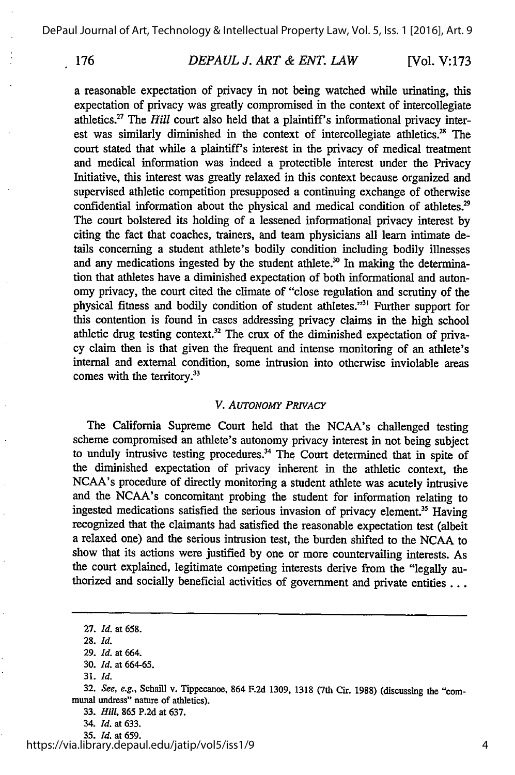DePaul Journal of Art, Technology & Intellectual Property Law, Vol. 5, Iss. 1 [2016], Art. 9

## *DEPAUL J. ART & ENT. LAW* **176** [Vol. **V:173**

a reasonable expectation of privacy in not being watched while urinating, this expectation of privacy was greatly compromised in the context of intercollegiate athletics.<sup>27</sup> The *Hill* court also held that a plaintiff's informational privacy interest was similarly diminished in the context of intercollegiate athletics.<sup>28</sup> The court stated that while a plaintiff's interest in the privacy of medical treatment and medical information was indeed a protectible interest under the Privacy Initiative, this interest was greatly relaxed in this context because organized and supervised athletic competition presupposed a continuing exchange of otherwise confidential information about the physical and medical condition of athletes.<sup>29</sup> The court bolstered its holding of a lessened informational privacy interest by citing the fact that coaches, trainers, and team physicians all learn intimate details concerning a student athlete's bodily condition including bodily illnesses and any medications ingested by the student athlete.<sup>30</sup> In making the determination that athletes have a diminished expectation of both informational and autonomy privacy, the court cited the climate of "close regulation and scrutiny of the physical fitness and bodily condition of student athletes."<sup>31</sup> Further support for this contention is found in cases addressing privacy claims in the high school athletic drug testing context.<sup>32</sup> The crux of the diminished expectation of privacy claim then is that given the frequent and intense monitoring of an athlete's internal and external condition, some intrusion into otherwise inviolable areas comes with the territory.<sup>33</sup>

### *V. AUTONOMY PRIvAcY*

The California Supreme Court held that the NCAA's challenged testing scheme compromised an athlete's autonomy privacy interest in not being subject to unduly intrusive testing procedures.<sup>34</sup> The Court determined that in spite of the diminished expectation of privacy inherent in the athletic context, the NCAA's procedure of directly monitoring a student athlete was acutely intrusive and the NCAA's concomitant probing the student for information relating to ingested medications satisfied the serious invasion of privacy element.<sup>35</sup> Having recognized that the claimants had satisfied the reasonable expectation test (albeit a relaxed one) and the serious intrusion test, the burden shifted to the NCAA to show that its actions were justified by one or more countervailing interests. As the court explained, legitimate competing interests derive from the "legally authorized and socially beneficial activities of government and private entities . . .

**31.** *Id.*

https://via.library.depaul.edu/jatip/vol5/iss1/9

**<sup>27.</sup>** *Id.* at **658.**

**<sup>28.</sup>** *Id.*

**<sup>29.</sup>** *Id.* at 664.

**<sup>30.</sup>** *Id.* at **664-65.**

**<sup>32.</sup>** See, e.g., Schaill v. Tippecanoe, 864 **F.2d 1309, 1318** (7th Cir. **1988)** (discussing the "communal undress" nature of athletics).

**<sup>33.</sup>** *Hill,* **865 P.2d** at **637.**

<sup>34.</sup> *Id.* at **633.**

**<sup>35.</sup>** *Id.* at **659.**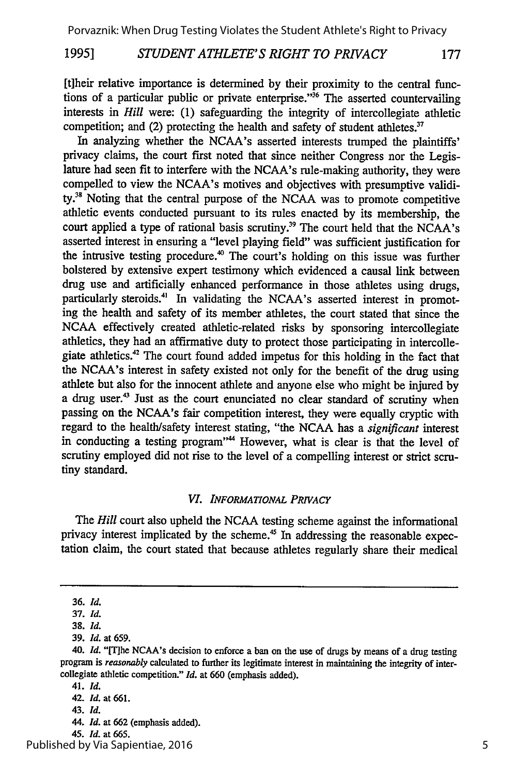#### *STUDENT ATHLETE'S RIGHT TO PRIVACY* **1995]** 177

[t]heir relative importance is determined by their proximity to the central functions of a particular public or private enterprise."<sup>36</sup> The asserted countervailing interests in *Hill* were: (1) safeguarding the integrity of intercollegiate athletic competition; and (2) protecting the health and safety of student athletes. $37$ 

In analyzing whether the NCAA's asserted interests trumped the plaintiffs' privacy claims, the court first noted that since neither Congress nor the Legislature had seen fit to interfere with the NCAA's rule-making authority, they were compelled to view the NCAA's motives and objectives with presumptive validity.<sup>38</sup> Noting that the central purpose of the NCAA was to promote competitive athletic events conducted pursuant to its rules enacted by its membership, the court applied a type of rational basis scrutiny.<sup>39</sup> The court held that the NCAA's asserted interest in ensuring a "level playing field" was sufficient justification for the intrusive testing procedure.<sup>40</sup> The court's holding on this issue was further bolstered by extensive expert testimony which evidenced a causal link between drug use and artificially enhanced performance in those athletes using drugs, particularly steroids.<sup>41</sup> In validating the NCAA's asserted interest in promoting the health and safety of its member athletes, the court stated that since the NCAA effectively created athletic-related risks by sponsoring intercollegiate athletics, they had an affirmative duty to protect those participating in intercollegiate athletics.<sup>42</sup> The court found added impetus for this holding in the fact that the NCAA's interest in safety existed not only for the benefit of the drug using athlete but also for the innocent athlete and anyone else who might be injured by a drug user.<sup>43</sup> Just as the court enunciated no clear standard of scrutiny when passing on the NCAA's fair competition interest, they were equally cryptic with regard to the health/safety interest stating, "the NCAA has a *significant* interest in conducting a testing program"<sup>44</sup> However, what is clear is that the level of scrutiny employed did not rise to the level of a compelling interest or strict scrutiny standard.

#### *VI. INFORMATIONAL PRIVACY*

The *Hill* court also upheld the NCAA testing scheme against the informational privacy interest implicated by the scheme.<sup>45</sup> In addressing the reasonable expectation claim, the court stated that because athletes regularly share their medical

45. *Id.* at 665.

<sup>36.</sup> *Id.*

<sup>37.</sup> *Id.*

**<sup>38.</sup>** *Id.*

<sup>39.</sup> *Id.* at 659.

<sup>40.</sup> Id. "[T]he NCAA's decision to enforce a ban on the use of drugs by means of a drug testing program is *reasonably* calculated to further its legitimate interest in maintaining the integrity of intercollegiate athletic competition." *Id.* at 660 (emphasis added).

<sup>41.</sup> *Id.*

<sup>42.</sup> *Id.* at 661.

<sup>43.</sup> *Id.*

<sup>44.</sup> *Id.* at 662 (emphasis added).

Published by Via Sapientiae, 2016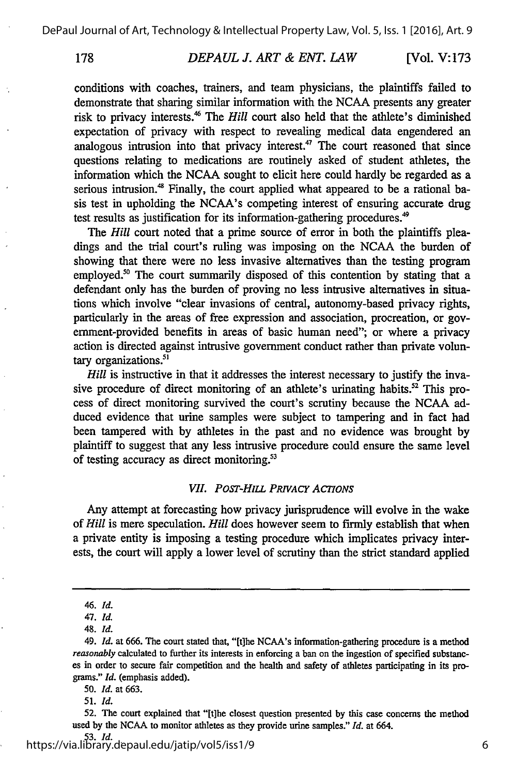178

#### *DEPAUL J. ART & ENT. LAW* [Vol. V: **173**

conditions with coaches, trainers, and team physicians, the plaintiffs failed to demonstrate that sharing similar information with the NCAA presents any greater risk to privacy interests.<sup>46</sup> The *Hill* court also held that the athlete's diminished expectation of privacy with respect to revealing medical data engendered an analogous intrusion into that privacy interest.<sup>47</sup> The court reasoned that since questions relating to medications are routinely asked of student athletes, the information which the NCAA sought to elicit here could hardly be regarded as a serious intrusion.<sup>48</sup> Finally, the court applied what appeared to be a rational basis test in upholding the NCAA's competing interest of ensuring accurate drug test results as justification for its information-gathering procedures.<sup>49</sup>

The *Hill* court noted that a prime source of error in both the plaintiffs pleadings and the trial court's ruling was imposing on the NCAA the burden of showing that there were no less invasive alternatives than the testing program employed.<sup>50</sup> The court summarily disposed of this contention by stating that a defendant only has the burden of proving no less intrusive alternatives in situations which involve "clear invasions of central, autonomy-based privacy rights, particularly in the areas of free expression and association, procreation, or government-provided benefits in areas of basic human need"; or where a privacy action is directed against intrusive government conduct rather than private voluntary organizations.<sup>51</sup>

*Hill* is instructive in that it addresses the interest necessary to justify the invasive procedure of direct monitoring of an athlete's urinating habits.<sup>52</sup> This process of direct monitoring survived the court's scrutiny because the NCAA adduced evidence that urine samples were subject to tampering and in fact had been tampered with by athletes in the past and no evidence was brought by plaintiff to suggest that any less intrusive procedure could ensure the same level of testing accuracy as direct monitoring.<sup>53</sup>

### *VII. PosT-HILL PRIVACY ACTIONS*

Any attempt at forecasting how privacy jurisprudence will evolve in the wake of *Hill* is mere speculation. *Hill* does however seem to firmly establish that when a private entity is imposing a testing procedure which implicates privacy interests, the court will apply a lower level of scrutiny than the strict standard applied

**50.** *Id.* at **663.**

<sup>46.</sup> *Id.*

*<sup>47.</sup> Id.*

<sup>48.</sup> *Id.*

<sup>49.</sup> *Id.* at 666. The court stated that, "[t]he NCAA's information-gathering procedure is a method reasonably calculated to further its interests in enforcing a ban on the ingestion of specified substances in order to secure fair competition and the health and safety of athletes participating in its programs." *Id.* (emphasis added).

**<sup>51.</sup>** *Id.*

**<sup>52.</sup>** The court explained that "[tihe closest question presented **by** this case concerns the method used **by** the **NCAA** to monitor athletes as they provide urine samples." *Id.* at 664.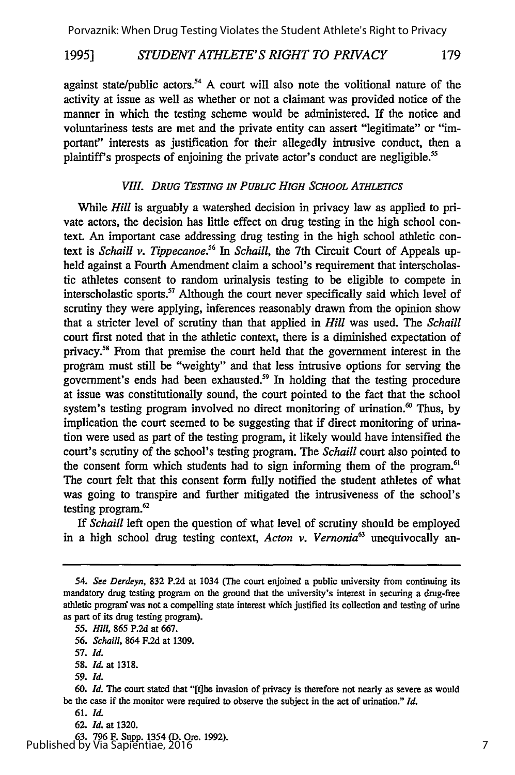#### *STUDENT ATHLETE'S RIGHT TO PRIVACY 1995]* 179

against state/public actors.<sup>54</sup> A court will also note the volitional nature of the activity at issue as well as whether or not a claimant was provided notice of the manner in which the testing scheme would be administered. If the notice and voluntariness tests are met and the private entity can assert "legitimate" or "important" interests as justification for their allegedly intrusive conduct, then a plaintiff's prospects of enjoining the private actor's conduct are negligible.<sup>55</sup>

### *VIII. DRUG TESTING IN PUBLIC HIGH SCHOOL ATHLETICS*

While *Hill* is arguably a watershed decision in privacy law as applied to private actors, the decision has little effect on drug testing in the high school context. An important case addressing drug testing in the high school athletic context is *Schaill v. Tippecanoe*.<sup>56</sup> In *Schaill*, the 7th Circuit Court of Appeals upheld against a Fourth Amendment claim a school's requirement that interscholastic athletes consent to random urinalysis testing to be eligible to compete in interscholastic sports. $57$  Although the court never specifically said which level of scrutiny they were applying, inferences reasonably drawn from the opinion show that a stricter level of scrutiny than that applied in *Hill* was used. The *Schaill* court first noted that in the athletic context, there is a diminished expectation of privacy.<sup>58</sup> From that premise the court held that the government interest in the program must still be "weighty" and that less intrusive options for serving the government's ends had been exhausted.<sup>59</sup> In holding that the testing procedure at issue was constitutionally sound, the court pointed to the fact that the school system's testing program involved no direct monitoring of urination.<sup> $\omega$ </sup> Thus, by implication the court seemed to be suggesting that if direct monitoring of urination were used as part of the testing program, it likely would have intensified the court's scrutiny of the school's testing program. The *Schaill* court also pointed to the consent form which students had to sign informing them of the program.<sup>61</sup> The court felt that this consent form fully notified the student athletes of what was going to transpire and further mitigated the intrusiveness of the school's testing program. $62$ 

*If Schaill* left open the question of what level of scrutiny should be employed in a high school drug testing context, *Acton v. Vernonia*<sup>63</sup> unequivocally an-

63. 796 F. Supp. 1354 (D. Ore. 1992). Published by Via Sapientiae, 2016

*<sup>54.</sup> See Derdeyn,* 832 P.2d at 1034 (The court enjoined a public university from continuing its mandatory drug testing program on the ground that the university's interest in securing a drug-free athletic program was not a compelling state interest which justified its collection and testing of urine as part of its drug testing program).

*<sup>55.</sup> Hill,* 865 P.2d at 667.

*<sup>56.</sup> Schaill,* 864 F.2d at 1309.

<sup>57.</sup> *Id.*

<sup>58.</sup> *Id.* at 1318.

**<sup>59.</sup>** *Id.*

<sup>60.</sup> *Id. The* court stated that "[tlhe invasion of privacy is therefore not nearly as severe as would be the case if the monitor were required to observe the subject in the act of urination." *Id.*

<sup>61.</sup> *Id.*

**<sup>62.</sup>** *Id.* at 1320.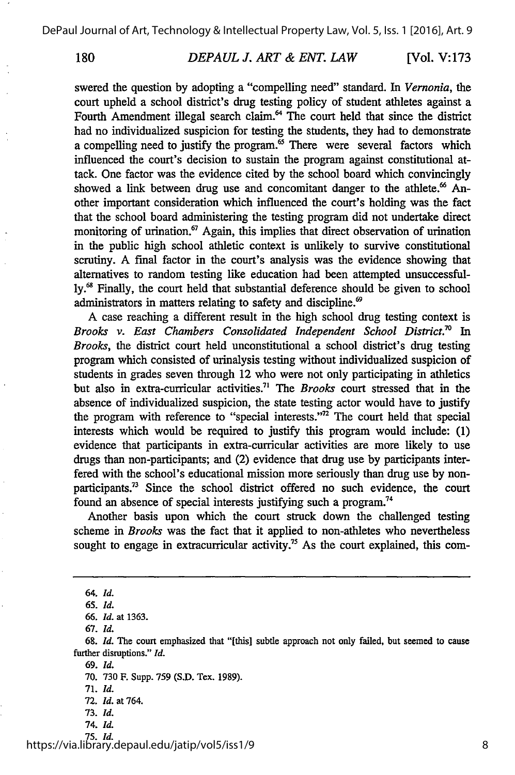180

#### *DEPAUL J. ART & ENT. LAW* **[Vol. V: 173**

swered the question by adopting a "compelling need" standard. In *Vernonia,* the court upheld a school district's drug testing policy of student athletes against a Fourth Amendment illegal search claim.<sup>64</sup> The court held that since the district had no individualized suspicion for testing the students, they had to demonstrate a compelling need to justify the program.<sup>65</sup> There were several factors which influenced the court's decision to sustain the program against constitutional attack. One factor was the evidence cited by the school board which convincingly showed a link between drug use and concomitant danger to the athlete.<sup>66</sup> Another important consideration which influenced the court's holding was the fact that the school board administering the testing program did not undertake direct monitoring of urination. $67$  Again, this implies that direct observation of urination in the public high school athletic context is unlikely to survive constitutional scrutiny. A final factor in the court's analysis was the evidence showing that alternatives to random testing like education had been attempted unsuccessfully.<sup>68</sup> Finally, the court held that substantial deference should be given to school administrators in matters relating to safety and discipline.'

A case reaching a different result in the high school drug testing context is *Brooks v. East Chambers Consolidated Independent School District." In Brooks,* the district court held unconstitutional a school district's drug testing program which consisted of urinalysis testing without individualized suspicion of students in grades seven through 12 who were not only participating in athletics but also in extra-curricular activities.7' The *Brooks* court stressed that in the absence of individualized suspicion, the state testing actor would have to justify the program with reference to "special interests."<sup>72</sup> The court held that special interests which would be required to justify this program would include: (1) evidence that participants in extra-curricular activities are more likely to use drugs than non-participants; and (2) evidence that drug use by participants interfered with the school's educational mission more seriously than drug use by nonparticipants.73 Since the school district offered no such evidence, the court found an absence of special interests justifying such a program.<sup>74</sup>

Another basis upon which the court struck down the challenged testing scheme in *Brooks* was the fact that it applied to non-athletes who nevertheless sought to engage in extracurricular activity.<sup>75</sup> As the court explained, this com-

*67. Id.*

*68. Id.* The court emphasized that "[this] subtle approach not only failed, but seemed to cause further disruptions." *Id.*

69. *Id.*

71. *Id.*

- 73. *Id.*
- 74. *Id.*

75. *Id.* https://via.library.depaul.edu/jatip/vol5/iss1/9

<sup>64.</sup> *Id.*

<sup>65.</sup> *Id.*

**<sup>66.</sup>** *Id.* at 1363.

<sup>70. 730</sup> F. Supp. 759 (S.D. Tex. 1989).

<sup>72.</sup> *Id.* at 764.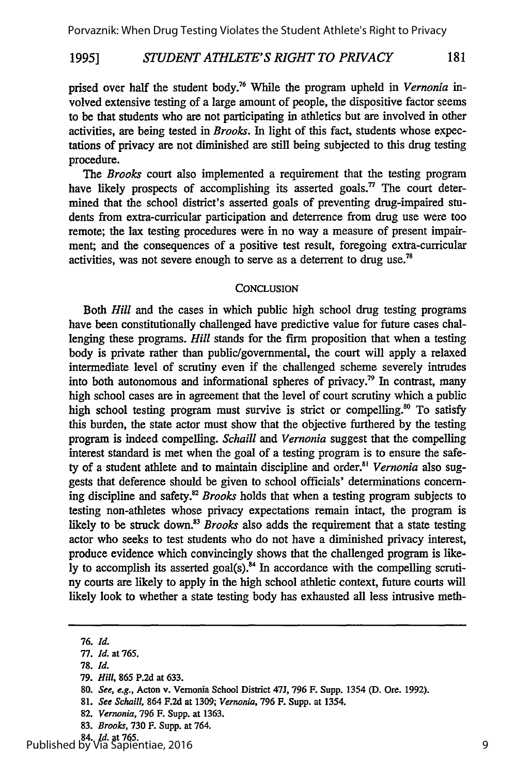#### *STUDENT ATHLETE'S RIGHT TO PRIVACY* 181 **1995]**

prised over half the student body.<sup>76</sup> While the program upheld in *Vernonia* involved extensive testing of a large amount of people, the dispositive factor seems to be that students who are not participating in athletics but are involved in other activities, are being tested in *Brooks.* In light of this fact, students whose expectations of privacy are not diminished are still being subjected to this drug testing procedure.

The *Brooks* court also implemented a requirement that the testing program have likely prospects of accomplishing its asserted goals.<sup>77</sup> The court determined that the school district's asserted goals of preventing drug-impaired students from extra-curricular participation and deterrence from drug use were too remote; the lax testing procedures were in no way a measure of present impairment; and the consequences of a positive test result, foregoing extra-curricular activities, was not severe enough to serve as a deterrent to drug use.<sup>78</sup>

#### **CONCLUSION**

Both *Hill* and the cases in which public high school drug testing programs have been constitutionally challenged have predictive value for future cases challenging these programs. *Hill* stands for the firm proposition that when a testing body is private rather than public/governmental, the court will apply a relaxed intermediate level of scrutiny even if the challenged scheme severely intrudes into both autonomous and informational spheres of privacy.79 In contrast, many high school cases are in agreement that the level of court scrutiny which a public high school testing program must survive is strict or compelling.<sup>80</sup> To satisfy this burden, the state actor must show that the objective furthered by the testing program is indeed compelling. *Schaill and Vernonia* suggest that the compelling interest standard is met when the goal of a testing program is to ensure the safety of a student athlete and to maintain discipline and order.<sup>81</sup> Vernonia also suggests that deference should be given to school officials' determinations concerning discipline and safety.82 *Brooks* holds that when a testing program subjects to testing non-athletes whose privacy expectations remain intact, the program is likely to be struck down.<sup>33</sup> Brooks also adds the requirement that a state testing actor who seeks to test students who do not have a diminished privacy interest, produce evidence which convincingly shows that the challenged program is likely to accomplish its asserted goal(s). $84$  In accordance with the compelling scrutiny courts are likely to apply in the high school athletic context, future courts will likely look to whether a state testing body has exhausted all less intrusive meth-

- **79.** *Hill,* **865 P.2d** at **633.**
- **80.** *See, e.g.,* Acton v. Vernonia **School** District **47J, 796** F. Supp. 1354 **(D.** Ore. **1992).**
- **81.** *See Schaill,* 864 **F.2d** at **1309;** *Vernonia,* **796** F. Supp. at 1354.
- **82.** *Vernonia,* **796** F. Supp. at **1363.**
- **83.** *Brooks,* **730** F. Supp. at 764.

**<sup>76.</sup>** *Id.*

**<sup>77.</sup>** *Id.* at **765.**

**<sup>78.</sup>** *Id.*

<sup>84.</sup> *Id.* at **765.** Published by Via Sapientiae, 2016